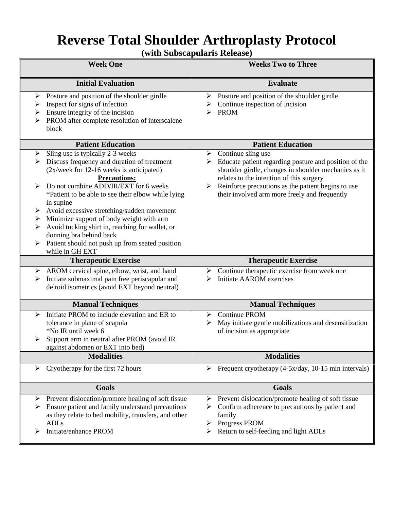# **Reverse Total Shoulder Arthroplasty Protocol**

**(with Subscapularis Release)**

| <b>Week One</b>                                                                                                                                                                                                                                                                                                                                                                                                                                                                                                                                      | <b>Weeks Two to Three</b>                                                                                                                                                                                                                                                                                    |
|------------------------------------------------------------------------------------------------------------------------------------------------------------------------------------------------------------------------------------------------------------------------------------------------------------------------------------------------------------------------------------------------------------------------------------------------------------------------------------------------------------------------------------------------------|--------------------------------------------------------------------------------------------------------------------------------------------------------------------------------------------------------------------------------------------------------------------------------------------------------------|
| <b>Initial Evaluation</b>                                                                                                                                                                                                                                                                                                                                                                                                                                                                                                                            | <b>Evaluate</b>                                                                                                                                                                                                                                                                                              |
| Posture and position of the shoulder girdle<br>➤<br>Inspect for signs of infection<br>➤<br>Ensure integrity of the incision<br>➤<br>PROM after complete resolution of interscalene<br>≻<br>block                                                                                                                                                                                                                                                                                                                                                     | $\triangleright$ Posture and position of the shoulder girdle<br>Continue inspection of incision<br>➤<br><b>PROM</b><br>⋗                                                                                                                                                                                     |
| <b>Patient Education</b>                                                                                                                                                                                                                                                                                                                                                                                                                                                                                                                             | <b>Patient Education</b>                                                                                                                                                                                                                                                                                     |
| Sling use is typically 2-3 weeks<br>➤<br>Discuss frequency and duration of treatment<br>(2x/week for 12-16 weeks is anticipated)<br><b>Precautions:</b><br>Do not combine ADD/IR/EXT for 6 weeks<br>*Patient to be able to see their elbow while lying<br>in supine<br>Avoid excessive stretching/sudden movement<br>➤<br>Minimize support of body weight with arm<br>$\blacktriangleright$<br>Avoid tucking shirt in, reaching for wallet, or<br>➤<br>donning bra behind back<br>Patient should not push up from seated position<br>while in GH EXT | $\triangleright$ Continue sling use<br>Educate patient regarding posture and position of the<br>shoulder girdle, changes in shoulder mechanics as it<br>relates to the intention of this surgery<br>Reinforce precautions as the patient begins to use<br>➤<br>their involved arm more freely and frequently |
| <b>Therapeutic Exercise</b>                                                                                                                                                                                                                                                                                                                                                                                                                                                                                                                          | <b>Therapeutic Exercise</b>                                                                                                                                                                                                                                                                                  |
| AROM cervical spine, elbow, wrist, and hand<br>➤                                                                                                                                                                                                                                                                                                                                                                                                                                                                                                     | Continue therapeutic exercise from week one<br>➤                                                                                                                                                                                                                                                             |
| Initiate submaximal pain free periscapular and<br>➤<br>deltoid isometrics (avoid EXT beyond neutral)                                                                                                                                                                                                                                                                                                                                                                                                                                                 | <b>Initiate AAROM</b> exercises<br>⋗                                                                                                                                                                                                                                                                         |
| <b>Manual Techniques</b>                                                                                                                                                                                                                                                                                                                                                                                                                                                                                                                             | <b>Manual Techniques</b>                                                                                                                                                                                                                                                                                     |
| Initiate PROM to include elevation and ER to<br>➤<br>tolerance in plane of scapula<br>*No IR until week 6<br>Support arm in neutral after PROM (avoid IR<br>➤<br>against abdomen or EXT into bed)                                                                                                                                                                                                                                                                                                                                                    | <b>Continue PROM</b><br>➤<br>May initiate gentle mobilizations and desensitization<br>≻<br>of incision as appropriate                                                                                                                                                                                        |
| <b>Modalities</b>                                                                                                                                                                                                                                                                                                                                                                                                                                                                                                                                    | <b>Modalities</b>                                                                                                                                                                                                                                                                                            |
| Cryotherapy for the first 72 hours<br>➤                                                                                                                                                                                                                                                                                                                                                                                                                                                                                                              | Frequent cryotherapy (4-5x/day, 10-15 min intervals)<br>➤                                                                                                                                                                                                                                                    |
| <b>Goals</b>                                                                                                                                                                                                                                                                                                                                                                                                                                                                                                                                         | Goals                                                                                                                                                                                                                                                                                                        |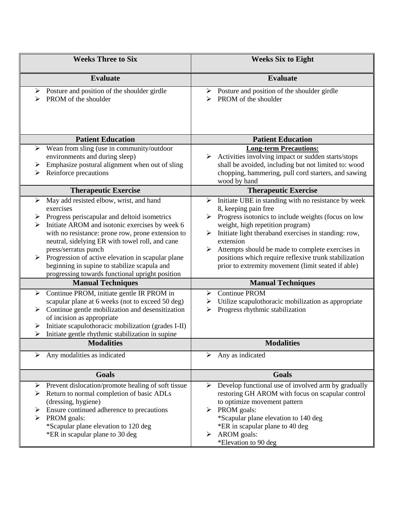| <b>Weeks Three to Six</b>                                                                                                                                                                                                                                                                                                                                                                                                                                                                                                                                                                                                                                                                                                                                                                                        | <b>Weeks Six to Eight</b>                                                                                                                                                                                                                                                                                                                                                                                                                                                                                                                                                                       |
|------------------------------------------------------------------------------------------------------------------------------------------------------------------------------------------------------------------------------------------------------------------------------------------------------------------------------------------------------------------------------------------------------------------------------------------------------------------------------------------------------------------------------------------------------------------------------------------------------------------------------------------------------------------------------------------------------------------------------------------------------------------------------------------------------------------|-------------------------------------------------------------------------------------------------------------------------------------------------------------------------------------------------------------------------------------------------------------------------------------------------------------------------------------------------------------------------------------------------------------------------------------------------------------------------------------------------------------------------------------------------------------------------------------------------|
| <b>Evaluate</b>                                                                                                                                                                                                                                                                                                                                                                                                                                                                                                                                                                                                                                                                                                                                                                                                  | <b>Evaluate</b>                                                                                                                                                                                                                                                                                                                                                                                                                                                                                                                                                                                 |
| Posture and position of the shoulder girdle<br>➤<br>PROM of the shoulder                                                                                                                                                                                                                                                                                                                                                                                                                                                                                                                                                                                                                                                                                                                                         | Posture and position of the shoulder girdle<br>➤<br>PROM of the shoulder<br>↘                                                                                                                                                                                                                                                                                                                                                                                                                                                                                                                   |
| <b>Patient Education</b>                                                                                                                                                                                                                                                                                                                                                                                                                                                                                                                                                                                                                                                                                                                                                                                         | <b>Patient Education</b>                                                                                                                                                                                                                                                                                                                                                                                                                                                                                                                                                                        |
| Wean from sling (use in community/outdoor<br>➤<br>environments and during sleep)<br>Emphasize postural alignment when out of sling<br>➤<br>Reinforce precautions<br>➤                                                                                                                                                                                                                                                                                                                                                                                                                                                                                                                                                                                                                                            | <b>Long-term Precautions:</b><br>Activities involving impact or sudden starts/stops<br>➤<br>shall be avoided, including but not limited to: wood<br>chopping, hammering, pull cord starters, and sawing<br>wood by hand                                                                                                                                                                                                                                                                                                                                                                         |
| <b>Therapeutic Exercise</b>                                                                                                                                                                                                                                                                                                                                                                                                                                                                                                                                                                                                                                                                                                                                                                                      | <b>Therapeutic Exercise</b>                                                                                                                                                                                                                                                                                                                                                                                                                                                                                                                                                                     |
| May add resisted elbow, wrist, and hand<br>➤<br>exercises<br>Progress periscapular and deltoid isometrics<br>➤<br>Initiate AROM and isotonic exercises by week 6<br>➤<br>with no resistance: prone row, prone extension to<br>neutral, sidelying ER with towel roll, and cane<br>press/serratus punch<br>Progression of active elevation in scapular plane<br>≻<br>beginning in supine to stabilize scapula and<br>progressing towards functional upright position<br><b>Manual Techniques</b><br>Continue PROM, initiate gentle IR PROM in<br>➤<br>scapular plane at 6 weeks (not to exceed 50 deg)<br>Continue gentle mobilization and desensitization<br>➤<br>of incision as appropriate<br>Initiate scapulothoracic mobilization (grades I-II)<br>➤<br>Initiate gentle rhythmic stabilization in supine<br>≻ | Initiate UBE in standing with no resistance by week<br>≻<br>8, keeping pain free<br>Progress isotonics to include weights (focus on low<br>➤<br>weight, high repetition program)<br>Initiate light theraband exercises in standing: row,<br>➤<br>extension<br>Attempts should be made to complete exercises in<br>➤<br>positions which require reflexive trunk stabilization<br>prior to extremity movement (limit seated if able)<br><b>Manual Techniques</b><br><b>Continue PROM</b><br>≻<br>Utilize scapulothoracic mobilization as appropriate<br>➤<br>Progress rhythmic stabilization<br>➤ |
| <b>Modalities</b>                                                                                                                                                                                                                                                                                                                                                                                                                                                                                                                                                                                                                                                                                                                                                                                                | <b>Modalities</b>                                                                                                                                                                                                                                                                                                                                                                                                                                                                                                                                                                               |
| Any modalities as indicated<br>➤                                                                                                                                                                                                                                                                                                                                                                                                                                                                                                                                                                                                                                                                                                                                                                                 | Any as indicated<br>➤                                                                                                                                                                                                                                                                                                                                                                                                                                                                                                                                                                           |
| <b>Goals</b>                                                                                                                                                                                                                                                                                                                                                                                                                                                                                                                                                                                                                                                                                                                                                                                                     | <b>Goals</b>                                                                                                                                                                                                                                                                                                                                                                                                                                                                                                                                                                                    |
| Prevent dislocation/promote healing of soft tissue<br>➤<br>Return to normal completion of basic ADLs<br>➤<br>(dressing, hygiene)<br>Ensure continued adherence to precautions<br>PROM goals:<br>*Scapular plane elevation to 120 deg<br>*ER in scapular plane to 30 deg                                                                                                                                                                                                                                                                                                                                                                                                                                                                                                                                          | Develop functional use of involved arm by gradually<br>➤<br>restoring GH AROM with focus on scapular control<br>to optimize movement pattern<br>PROM goals:<br>➤<br>*Scapular plane elevation to 140 deg<br>*ER in scapular plane to 40 deg<br>AROM goals:<br>➤<br>*Elevation to 90 deg                                                                                                                                                                                                                                                                                                         |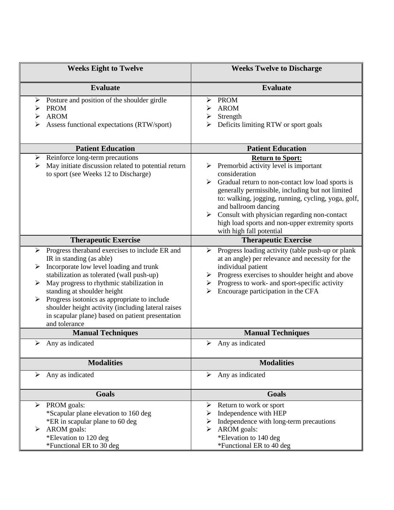| <b>Weeks Eight to Twelve</b>                                                                                                                                                                                                                                                                                                                                                                                                             | <b>Weeks Twelve to Discharge</b>                                                                                                                                                                                                                                                                                                                                                                                                          |
|------------------------------------------------------------------------------------------------------------------------------------------------------------------------------------------------------------------------------------------------------------------------------------------------------------------------------------------------------------------------------------------------------------------------------------------|-------------------------------------------------------------------------------------------------------------------------------------------------------------------------------------------------------------------------------------------------------------------------------------------------------------------------------------------------------------------------------------------------------------------------------------------|
| <b>Evaluate</b>                                                                                                                                                                                                                                                                                                                                                                                                                          | <b>Evaluate</b>                                                                                                                                                                                                                                                                                                                                                                                                                           |
| Posture and position of the shoulder girdle<br>➤<br><b>PROM</b><br><b>AROM</b><br>➤<br>Assess functional expectations (RTW/sport)<br>⋗                                                                                                                                                                                                                                                                                                   | <b>PROM</b><br>➤<br><b>AROM</b><br>⋗<br>Strength<br>➤<br>Deficits limiting RTW or sport goals<br>⋗                                                                                                                                                                                                                                                                                                                                        |
| <b>Patient Education</b>                                                                                                                                                                                                                                                                                                                                                                                                                 | <b>Patient Education</b>                                                                                                                                                                                                                                                                                                                                                                                                                  |
| Reinforce long-term precautions<br>➤<br>May initiate discussion related to potential return<br>➤<br>to sport (see Weeks 12 to Discharge)                                                                                                                                                                                                                                                                                                 | <b>Return to Sport:</b><br>Premorbid activity level is important<br>consideration<br>$\triangleright$ Gradual return to non-contact low load sports is<br>generally permissible, including but not limited<br>to: walking, jogging, running, cycling, yoga, golf,<br>and ballroom dancing<br>$\triangleright$ Consult with physician regarding non-contact<br>high load sports and non-upper extremity sports<br>with high fall potential |
| <b>Therapeutic Exercise</b>                                                                                                                                                                                                                                                                                                                                                                                                              | <b>Therapeutic Exercise</b>                                                                                                                                                                                                                                                                                                                                                                                                               |
| Progress theraband exercises to include ER and<br>➤<br>IR in standing (as able)<br>Incorporate low level loading and trunk<br>➤<br>stabilization as tolerated (wall push-up)<br>May progress to rhythmic stabilization in<br>➤<br>standing at shoulder height<br>Progress isotonics as appropriate to include<br>shoulder height activity (including lateral raises<br>in scapular plane) based on patient presentation<br>and tolerance | Progress loading activity (table push-up or plank<br>➤<br>at an angle) per relevance and necessity for the<br>individual patient<br>Progress exercises to shoulder height and above<br>➤<br>Progress to work- and sport-specific activity<br>➤<br>Encourage participation in the CFA                                                                                                                                                      |
| <b>Manual Techniques</b>                                                                                                                                                                                                                                                                                                                                                                                                                 | <b>Manual Techniques</b>                                                                                                                                                                                                                                                                                                                                                                                                                  |
| Any as indicated<br>➤                                                                                                                                                                                                                                                                                                                                                                                                                    | Any as indicated<br>➤                                                                                                                                                                                                                                                                                                                                                                                                                     |
| <b>Modalities</b>                                                                                                                                                                                                                                                                                                                                                                                                                        | <b>Modalities</b>                                                                                                                                                                                                                                                                                                                                                                                                                         |
| Any as indicated<br>➤                                                                                                                                                                                                                                                                                                                                                                                                                    | $\triangleright$ Any as indicated                                                                                                                                                                                                                                                                                                                                                                                                         |
| <b>Goals</b>                                                                                                                                                                                                                                                                                                                                                                                                                             | <b>Goals</b>                                                                                                                                                                                                                                                                                                                                                                                                                              |
| PROM goals:<br>➤<br>*Scapular plane elevation to 160 deg<br>*ER in scapular plane to 60 deg<br>AROM goals:<br>➤                                                                                                                                                                                                                                                                                                                          | Return to work or sport<br>➤<br>Independence with HEP<br>➤<br>Independence with long-term precautions<br>➤<br>AROM goals:<br>⋗                                                                                                                                                                                                                                                                                                            |
| *Elevation to 120 deg<br>*Functional ER to 30 deg                                                                                                                                                                                                                                                                                                                                                                                        | *Elevation to 140 deg<br>*Functional ER to 40 deg                                                                                                                                                                                                                                                                                                                                                                                         |